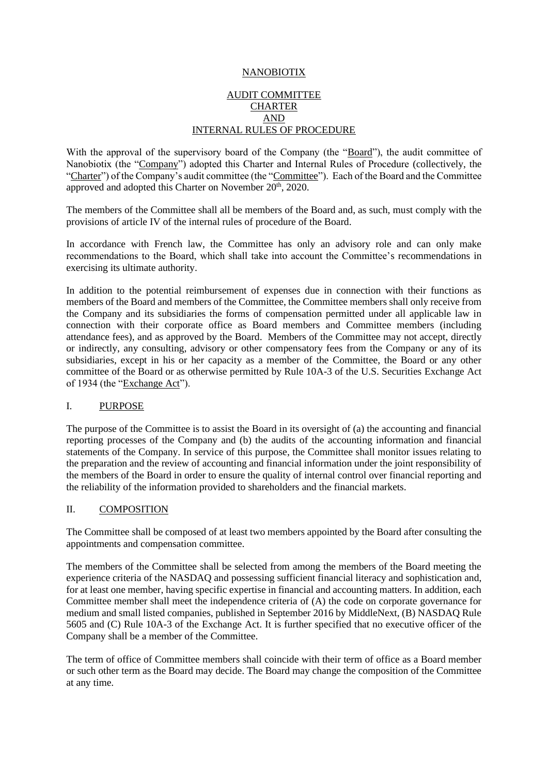## NANOBIOTIX

## AUDIT COMMITTEE **CHARTER** AND INTERNAL RULES OF PROCEDURE

With the approval of the supervisory board of the Company (the "Board"), the audit committee of Nanobiotix (the "Company") adopted this Charter and Internal Rules of Procedure (collectively, the "Charter") of the Company's audit committee (the "Committee"). Each of the Board and the Committee approved and adopted this Charter on November 20<sup>th</sup>, 2020.

The members of the Committee shall all be members of the Board and, as such, must comply with the provisions of article IV of the internal rules of procedure of the Board.

In accordance with French law, the Committee has only an advisory role and can only make recommendations to the Board, which shall take into account the Committee's recommendations in exercising its ultimate authority.

In addition to the potential reimbursement of expenses due in connection with their functions as members of the Board and members of the Committee, the Committee members shall only receive from the Company and its subsidiaries the forms of compensation permitted under all applicable law in connection with their corporate office as Board members and Committee members (including attendance fees), and as approved by the Board. Members of the Committee may not accept, directly or indirectly, any consulting, advisory or other compensatory fees from the Company or any of its subsidiaries, except in his or her capacity as a member of the Committee, the Board or any other committee of the Board or as otherwise permitted by Rule 10A-3 of the U.S. Securities Exchange Act of 1934 (the "Exchange Act").

#### I. PURPOSE

The purpose of the Committee is to assist the Board in its oversight of (a) the accounting and financial reporting processes of the Company and (b) the audits of the accounting information and financial statements of the Company. In service of this purpose, the Committee shall monitor issues relating to the preparation and the review of accounting and financial information under the joint responsibility of the members of the Board in order to ensure the quality of internal control over financial reporting and the reliability of the information provided to shareholders and the financial markets.

#### II. COMPOSITION

The Committee shall be composed of at least two members appointed by the Board after consulting the appointments and compensation committee.

The members of the Committee shall be selected from among the members of the Board meeting the experience criteria of the NASDAQ and possessing sufficient financial literacy and sophistication and, for at least one member, having specific expertise in financial and accounting matters. In addition, each Committee member shall meet the independence criteria of (A) the code on corporate governance for medium and small listed companies, published in September 2016 by MiddleNext, (B) NASDAQ Rule 5605 and (C) Rule 10A-3 of the Exchange Act. It is further specified that no executive officer of the Company shall be a member of the Committee.

The term of office of Committee members shall coincide with their term of office as a Board member or such other term as the Board may decide. The Board may change the composition of the Committee at any time.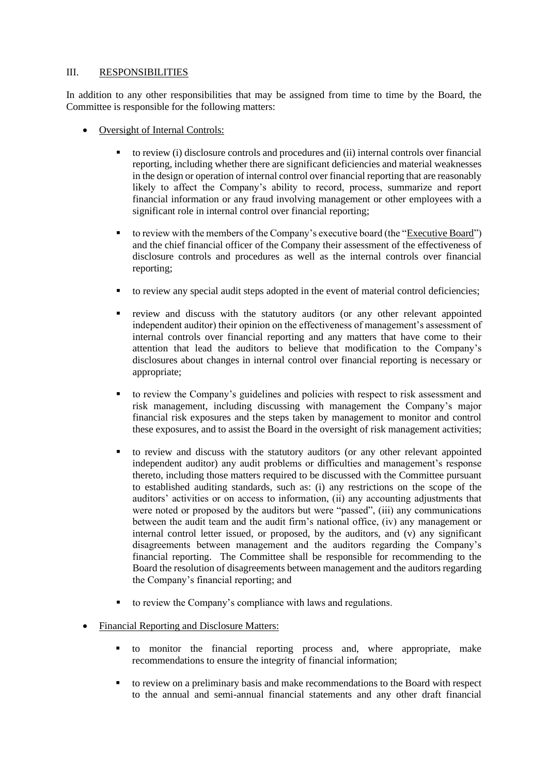## III. RESPONSIBILITIES

In addition to any other responsibilities that may be assigned from time to time by the Board, the Committee is responsible for the following matters:

- Oversight of Internal Controls:
	- to review (i) disclosure controls and procedures and (ii) internal controls over financial reporting, including whether there are significant deficiencies and material weaknesses in the design or operation of internal control over financial reporting that are reasonably likely to affect the Company's ability to record, process, summarize and report financial information or any fraud involving management or other employees with a significant role in internal control over financial reporting;
	- to review with the members of the Company's executive board (the "Executive Board") and the chief financial officer of the Company their assessment of the effectiveness of disclosure controls and procedures as well as the internal controls over financial reporting;
	- to review any special audit steps adopted in the event of material control deficiencies;
	- review and discuss with the statutory auditors (or any other relevant appointed independent auditor) their opinion on the effectiveness of management's assessment of internal controls over financial reporting and any matters that have come to their attention that lead the auditors to believe that modification to the Company's disclosures about changes in internal control over financial reporting is necessary or appropriate;
	- to review the Company's guidelines and policies with respect to risk assessment and risk management, including discussing with management the Company's major financial risk exposures and the steps taken by management to monitor and control these exposures, and to assist the Board in the oversight of risk management activities;
	- to review and discuss with the statutory auditors (or any other relevant appointed independent auditor) any audit problems or difficulties and management's response thereto, including those matters required to be discussed with the Committee pursuant to established auditing standards, such as: (i) any restrictions on the scope of the auditors' activities or on access to information, (ii) any accounting adjustments that were noted or proposed by the auditors but were "passed", (iii) any communications between the audit team and the audit firm's national office, (iv) any management or internal control letter issued, or proposed, by the auditors, and (v) any significant disagreements between management and the auditors regarding the Company's financial reporting. The Committee shall be responsible for recommending to the Board the resolution of disagreements between management and the auditors regarding the Company's financial reporting; and
	- to review the Company's compliance with laws and regulations.
- Financial Reporting and Disclosure Matters:
	- to monitor the financial reporting process and, where appropriate, make recommendations to ensure the integrity of financial information;
	- to review on a preliminary basis and make recommendations to the Board with respect to the annual and semi-annual financial statements and any other draft financial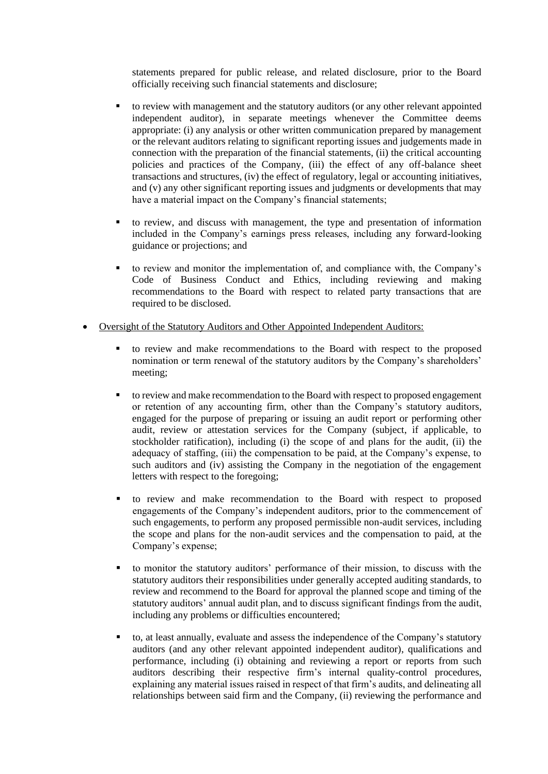statements prepared for public release, and related disclosure, prior to the Board officially receiving such financial statements and disclosure;

- to review with management and the statutory auditors (or any other relevant appointed independent auditor), in separate meetings whenever the Committee deems appropriate: (i) any analysis or other written communication prepared by management or the relevant auditors relating to significant reporting issues and judgements made in connection with the preparation of the financial statements, (ii) the critical accounting policies and practices of the Company, (iii) the effect of any off-balance sheet transactions and structures, (iv) the effect of regulatory, legal or accounting initiatives, and (v) any other significant reporting issues and judgments or developments that may have a material impact on the Company's financial statements;
- to review, and discuss with management, the type and presentation of information included in the Company's earnings press releases, including any forward-looking guidance or projections; and
- to review and monitor the implementation of, and compliance with, the Company's Code of Business Conduct and Ethics, including reviewing and making recommendations to the Board with respect to related party transactions that are required to be disclosed.
- Oversight of the Statutory Auditors and Other Appointed Independent Auditors:
	- to review and make recommendations to the Board with respect to the proposed nomination or term renewal of the statutory auditors by the Company's shareholders' meeting;
	- to review and make recommendation to the Board with respect to proposed engagement or retention of any accounting firm, other than the Company's statutory auditors, engaged for the purpose of preparing or issuing an audit report or performing other audit, review or attestation services for the Company (subject, if applicable, to stockholder ratification), including (i) the scope of and plans for the audit, (ii) the adequacy of staffing, (iii) the compensation to be paid, at the Company's expense, to such auditors and (iv) assisting the Company in the negotiation of the engagement letters with respect to the foregoing;
	- to review and make recommendation to the Board with respect to proposed engagements of the Company's independent auditors, prior to the commencement of such engagements, to perform any proposed permissible non-audit services, including the scope and plans for the non-audit services and the compensation to paid, at the Company's expense;
	- to monitor the statutory auditors' performance of their mission, to discuss with the statutory auditors their responsibilities under generally accepted auditing standards, to review and recommend to the Board for approval the planned scope and timing of the statutory auditors' annual audit plan, and to discuss significant findings from the audit, including any problems or difficulties encountered;
	- to, at least annually, evaluate and assess the independence of the Company's statutory auditors (and any other relevant appointed independent auditor), qualifications and performance, including (i) obtaining and reviewing a report or reports from such auditors describing their respective firm's internal quality-control procedures, explaining any material issues raised in respect of that firm's audits, and delineating all relationships between said firm and the Company, (ii) reviewing the performance and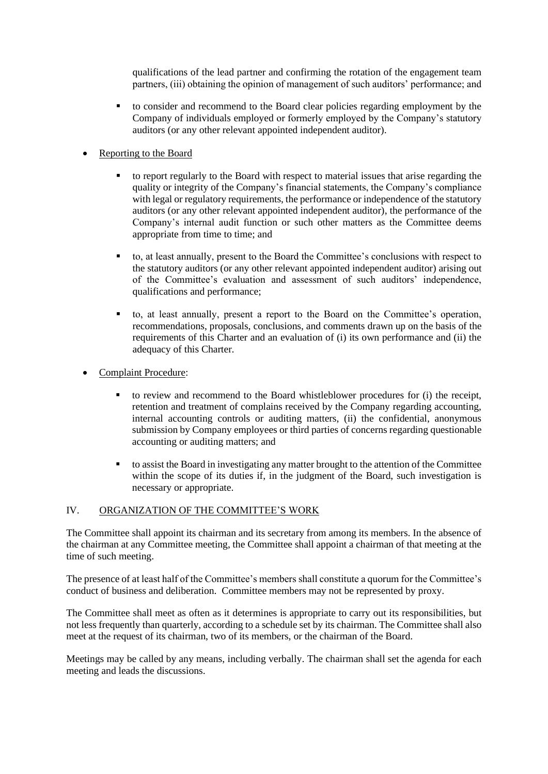qualifications of the lead partner and confirming the rotation of the engagement team partners, (iii) obtaining the opinion of management of such auditors' performance; and

- to consider and recommend to the Board clear policies regarding employment by the Company of individuals employed or formerly employed by the Company's statutory auditors (or any other relevant appointed independent auditor).
- Reporting to the Board
	- to report regularly to the Board with respect to material issues that arise regarding the quality or integrity of the Company's financial statements, the Company's compliance with legal or regulatory requirements, the performance or independence of the statutory auditors (or any other relevant appointed independent auditor), the performance of the Company's internal audit function or such other matters as the Committee deems appropriate from time to time; and
	- to, at least annually, present to the Board the Committee's conclusions with respect to the statutory auditors (or any other relevant appointed independent auditor) arising out of the Committee's evaluation and assessment of such auditors' independence, qualifications and performance;
	- to, at least annually, present a report to the Board on the Committee's operation, recommendations, proposals, conclusions, and comments drawn up on the basis of the requirements of this Charter and an evaluation of (i) its own performance and (ii) the adequacy of this Charter.
- Complaint Procedure:
	- to review and recommend to the Board whistleblower procedures for (i) the receipt, retention and treatment of complains received by the Company regarding accounting, internal accounting controls or auditing matters, (ii) the confidential, anonymous submission by Company employees or third parties of concerns regarding questionable accounting or auditing matters; and
	- to assist the Board in investigating any matter brought to the attention of the Committee within the scope of its duties if, in the judgment of the Board, such investigation is necessary or appropriate.

# IV. ORGANIZATION OF THE COMMITTEE'S WORK

The Committee shall appoint its chairman and its secretary from among its members. In the absence of the chairman at any Committee meeting, the Committee shall appoint a chairman of that meeting at the time of such meeting.

The presence of at least half of the Committee's members shall constitute a quorum for the Committee's conduct of business and deliberation. Committee members may not be represented by proxy.

The Committee shall meet as often as it determines is appropriate to carry out its responsibilities, but not less frequently than quarterly, according to a schedule set by its chairman. The Committee shall also meet at the request of its chairman, two of its members, or the chairman of the Board.

Meetings may be called by any means, including verbally. The chairman shall set the agenda for each meeting and leads the discussions.